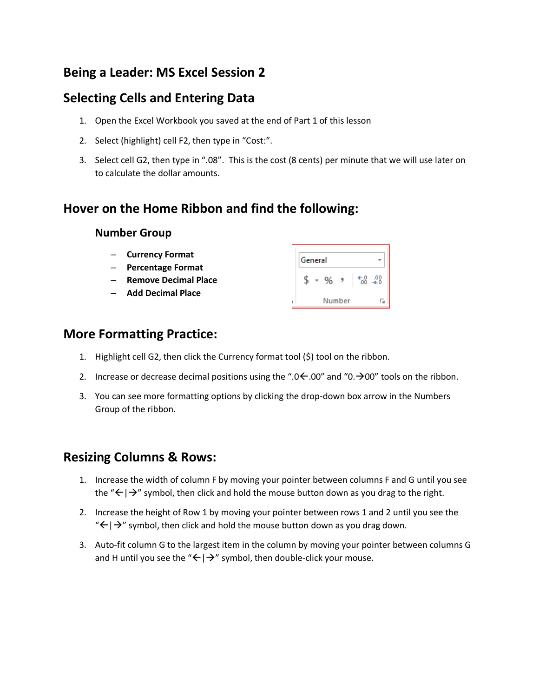# **Being a Leader: MS Excel Session 2**

## **Selecting Cells and Entering Data**

- 1. Open the Excel Workbook you saved at the end of Part 1 of this lesson
- 2. Select (highlight) cell F2, then type in "Cost:".
- 3. Select cell G2, then type in ".08". This is the cost (8 cents) per minute that we will use later on to calculate the dollar amounts.

## **Hover on the Home Ribbon and find the following:**

#### **Number Group**

- **Currency Format**
- **Percentage Format**
- **Remove Decimal Place**
- **Add Decimal Place**

| General |        |  |  |  |                    |
|---------|--------|--|--|--|--------------------|
|         |        |  |  |  | $^{+.0}_{0.6}$ .00 |
|         | Number |  |  |  |                    |

#### **More Formatting Practice:**

- 1. Highlight cell G2, then click the Currency format tool (\$) tool on the ribbon.
- 2. Increase or decrease decimal positions using the ".0  $\leftarrow$  .00" and "0.  $\rightarrow$  00" tools on the ribbon.
- 3. You can see more formatting options by clicking the drop-down box arrow in the Numbers Group of the ribbon.

#### **Resizing Columns & Rows:**

- 1. Increase the width of column F by moving your pointer between columns F and G until you see the " $\leftarrow$  |  $\rightarrow$ " symbol, then click and hold the mouse button down as you drag to the right.
- 2. Increase the height of Row 1 by moving your pointer between rows 1 and 2 until you see the " $\leftarrow$  |  $\rightarrow$ " symbol, then click and hold the mouse button down as you drag down.
- 3. Auto-fit column G to the largest item in the column by moving your pointer between columns G and H until you see the " $\leftarrow$  |  $\rightarrow$ " symbol, then double-click your mouse.